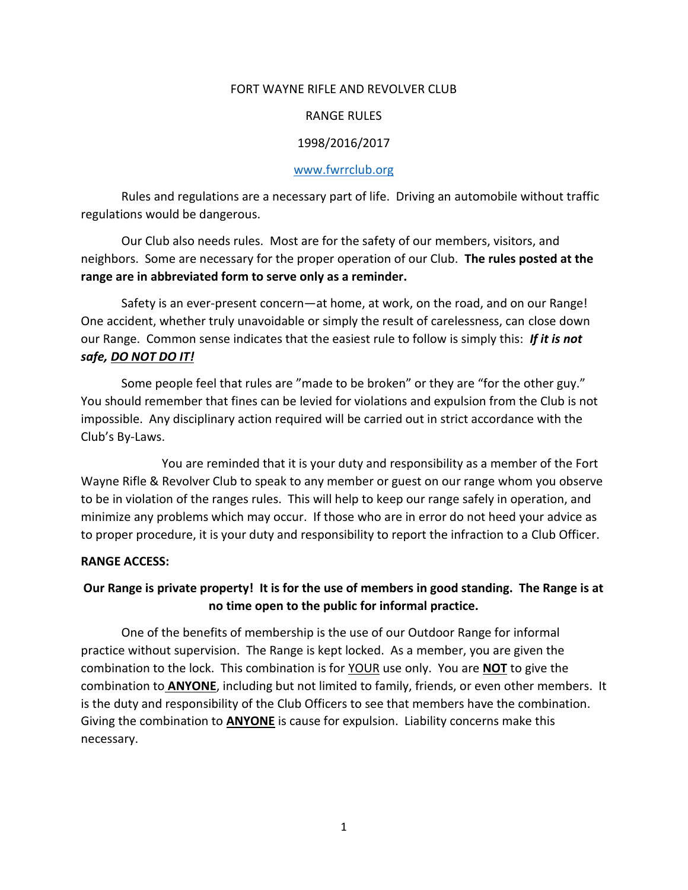#### FORT WAYNE RIFLE AND REVOLVER CLUB

#### RANGE RULES

#### 1998/2016/2017

#### [www.fwrrclub.org](http://www.fwrrclub.org/)

Rules and regulations are a necessary part of life. Driving an automobile without traffic regulations would be dangerous.

Our Club also needs rules. Most are for the safety of our members, visitors, and neighbors. Some are necessary for the proper operation of our Club. **The rules posted at the range are in abbreviated form to serve only as a reminder.**

Safety is an ever-present concern—at home, at work, on the road, and on our Range! One accident, whether truly unavoidable or simply the result of carelessness, can close down our Range. Common sense indicates that the easiest rule to follow is simply this: *If it is not safe, DO NOT DO IT!*

Some people feel that rules are "made to be broken" or they are "for the other guy." You should remember that fines can be levied for violations and expulsion from the Club is not impossible. Any disciplinary action required will be carried out in strict accordance with the Club's By-Laws.

You are reminded that it is your duty and responsibility as a member of the Fort Wayne Rifle & Revolver Club to speak to any member or guest on our range whom you observe to be in violation of the ranges rules. This will help to keep our range safely in operation, and minimize any problems which may occur. If those who are in error do not heed your advice as to proper procedure, it is your duty and responsibility to report the infraction to a Club Officer.

#### **RANGE ACCESS:**

### **Our Range is private property! It is for the use of members in good standing. The Range is at no time open to the public for informal practice.**

One of the benefits of membership is the use of our Outdoor Range for informal practice without supervision. The Range is kept locked. As a member, you are given the combination to the lock. This combination is for YOUR use only. You are **NOT** to give the combination to **ANYONE**, including but not limited to family, friends, or even other members. It is the duty and responsibility of the Club Officers to see that members have the combination. Giving the combination to **ANYONE** is cause for expulsion. Liability concerns make this necessary.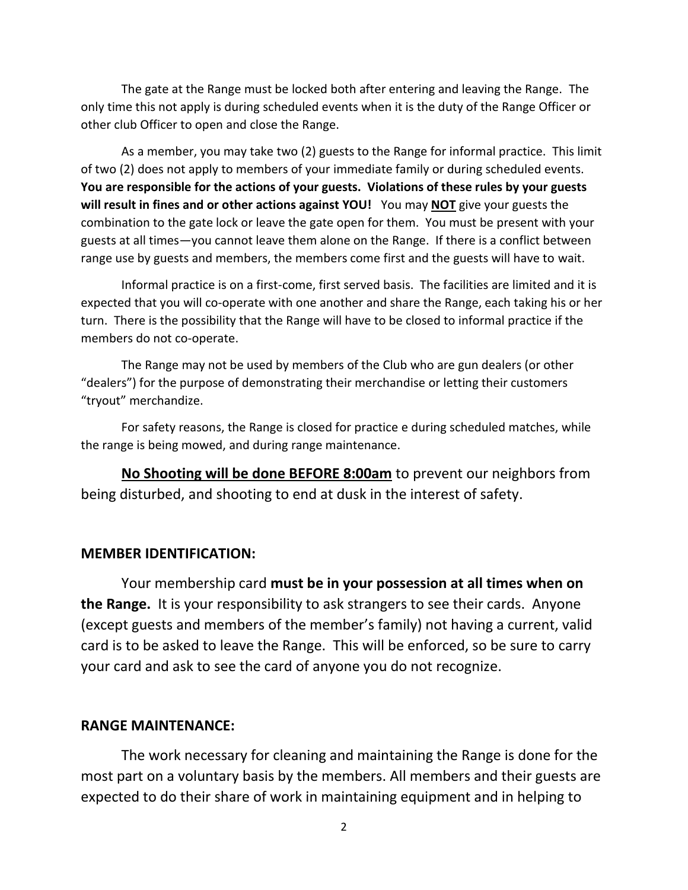The gate at the Range must be locked both after entering and leaving the Range. The only time this not apply is during scheduled events when it is the duty of the Range Officer or other club Officer to open and close the Range.

As a member, you may take two (2) guests to the Range for informal practice. This limit of two (2) does not apply to members of your immediate family or during scheduled events. **You are responsible for the actions of your guests. Violations of these rules by your guests will result in fines and or other actions against YOU!** You may **NOT** give your guests the combination to the gate lock or leave the gate open for them. You must be present with your guests at all times—you cannot leave them alone on the Range. If there is a conflict between range use by guests and members, the members come first and the guests will have to wait.

Informal practice is on a first-come, first served basis. The facilities are limited and it is expected that you will co-operate with one another and share the Range, each taking his or her turn. There is the possibility that the Range will have to be closed to informal practice if the members do not co-operate.

The Range may not be used by members of the Club who are gun dealers (or other "dealers") for the purpose of demonstrating their merchandise or letting their customers "tryout" merchandize.

For safety reasons, the Range is closed for practice e during scheduled matches, while the range is being mowed, and during range maintenance.

**No Shooting will be done BEFORE 8:00am** to prevent our neighbors from being disturbed, and shooting to end at dusk in the interest of safety.

### **MEMBER IDENTIFICATION:**

Your membership card **must be in your possession at all times when on the Range.** It is your responsibility to ask strangers to see their cards. Anyone (except guests and members of the member's family) not having a current, valid card is to be asked to leave the Range. This will be enforced, so be sure to carry your card and ask to see the card of anyone you do not recognize.

#### **RANGE MAINTENANCE:**

The work necessary for cleaning and maintaining the Range is done for the most part on a voluntary basis by the members. All members and their guests are expected to do their share of work in maintaining equipment and in helping to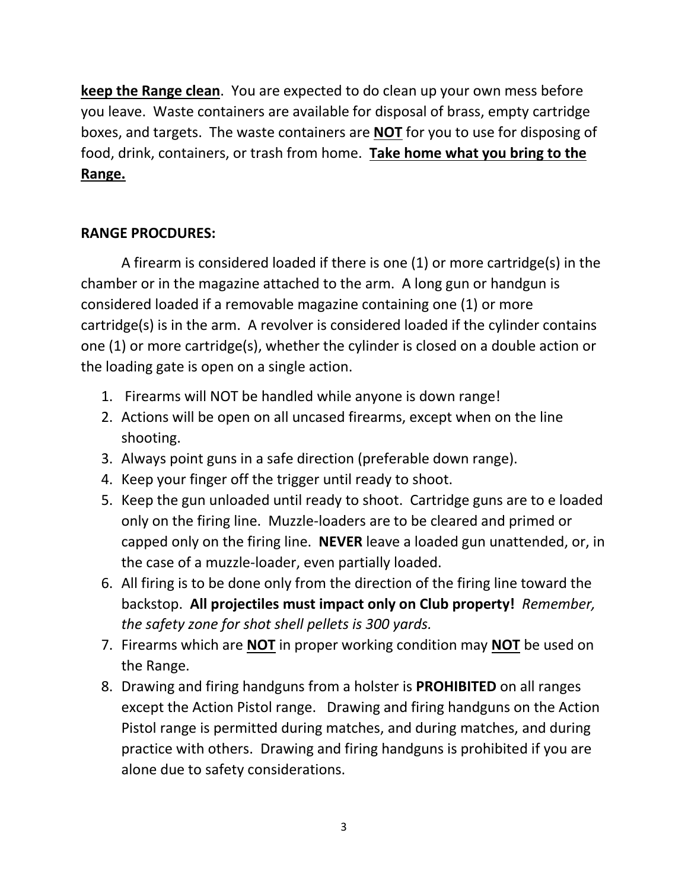**keep the Range clean**. You are expected to do clean up your own mess before you leave. Waste containers are available for disposal of brass, empty cartridge boxes, and targets. The waste containers are **NOT** for you to use for disposing of food, drink, containers, or trash from home. **Take home what you bring to the Range.**

### **RANGE PROCDURES:**

A firearm is considered loaded if there is one (1) or more cartridge(s) in the chamber or in the magazine attached to the arm. A long gun or handgun is considered loaded if a removable magazine containing one (1) or more cartridge(s) is in the arm. A revolver is considered loaded if the cylinder contains one (1) or more cartridge(s), whether the cylinder is closed on a double action or the loading gate is open on a single action.

- 1. Firearms will NOT be handled while anyone is down range!
- 2. Actions will be open on all uncased firearms, except when on the line shooting.
- 3. Always point guns in a safe direction (preferable down range).
- 4. Keep your finger off the trigger until ready to shoot.
- 5. Keep the gun unloaded until ready to shoot. Cartridge guns are to e loaded only on the firing line. Muzzle-loaders are to be cleared and primed or capped only on the firing line. **NEVER** leave a loaded gun unattended, or, in the case of a muzzle-loader, even partially loaded.
- 6. All firing is to be done only from the direction of the firing line toward the backstop. **All projectiles must impact only on Club property!** *Remember, the safety zone for shot shell pellets is 300 yards.*
- 7. Firearms which are **NOT** in proper working condition may **NOT** be used on the Range.
- 8. Drawing and firing handguns from a holster is **PROHIBITED** on all ranges except the Action Pistol range. Drawing and firing handguns on the Action Pistol range is permitted during matches, and during matches, and during practice with others. Drawing and firing handguns is prohibited if you are alone due to safety considerations.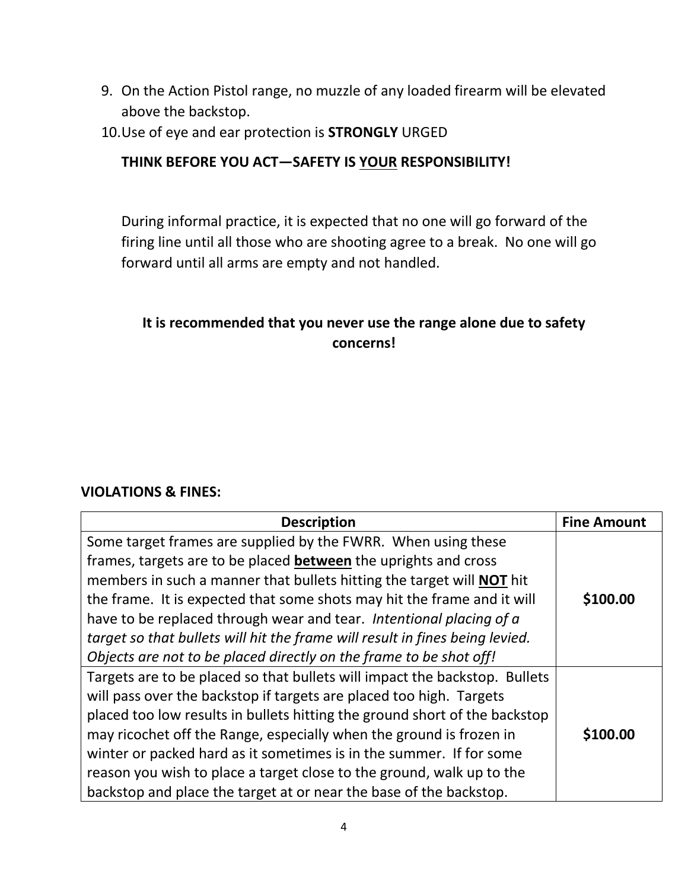- 9. On the Action Pistol range, no muzzle of any loaded firearm will be elevated above the backstop.
- 10.Use of eye and ear protection is **STRONGLY** URGED

### **THINK BEFORE YOU ACT—SAFETY IS YOUR RESPONSIBILITY!**

During informal practice, it is expected that no one will go forward of the firing line until all those who are shooting agree to a break. No one will go forward until all arms are empty and not handled.

### **It is recommended that you never use the range alone due to safety concerns!**

### **VIOLATIONS & FINES:**

| <b>Description</b>                                                           | <b>Fine Amount</b> |
|------------------------------------------------------------------------------|--------------------|
| Some target frames are supplied by the FWRR. When using these                |                    |
| frames, targets are to be placed between the uprights and cross              |                    |
| members in such a manner that bullets hitting the target will <b>NOT</b> hit |                    |
| the frame. It is expected that some shots may hit the frame and it will      | \$100.00           |
| have to be replaced through wear and tear. Intentional placing of a          |                    |
| target so that bullets will hit the frame will result in fines being levied. |                    |
| Objects are not to be placed directly on the frame to be shot off!           |                    |
| Targets are to be placed so that bullets will impact the backstop. Bullets   |                    |
| will pass over the backstop if targets are placed too high. Targets          |                    |
| placed too low results in bullets hitting the ground short of the backstop   |                    |
| may ricochet off the Range, especially when the ground is frozen in          | \$100.00           |
| winter or packed hard as it sometimes is in the summer. If for some          |                    |
| reason you wish to place a target close to the ground, walk up to the        |                    |
| backstop and place the target at or near the base of the backstop.           |                    |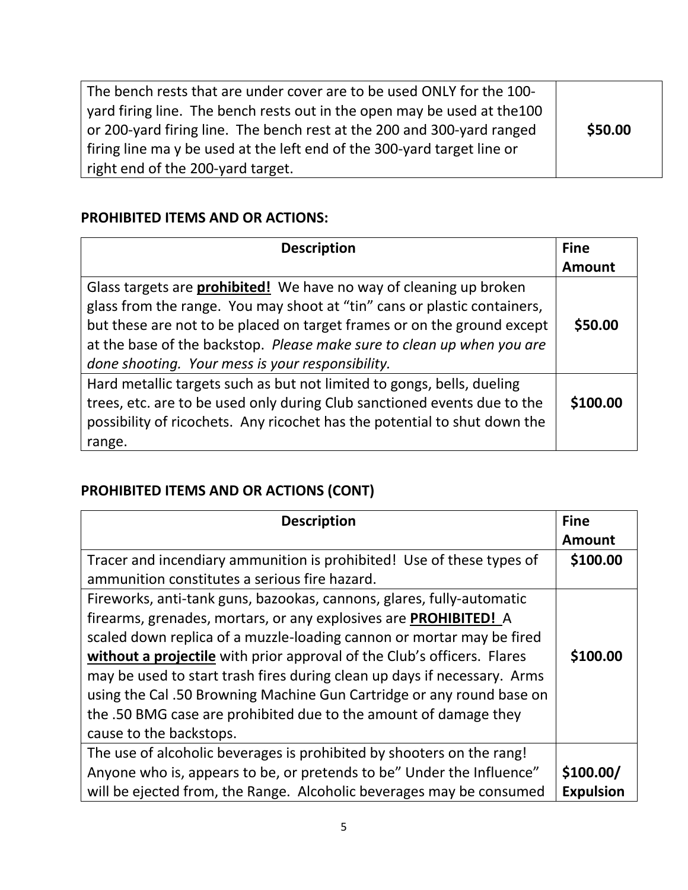| The bench rests that are under cover are to be used ONLY for the 100-    |         |
|--------------------------------------------------------------------------|---------|
| yard firing line. The bench rests out in the open may be used at the 100 |         |
| or 200-yard firing line. The bench rest at the 200 and 300-yard ranged   | \$50.00 |
| firing line may be used at the left end of the 300-yard target line or   |         |
| right end of the 200-yard target.                                        |         |

### **PROHIBITED ITEMS AND OR ACTIONS:**

| <b>Description</b>                                                                                                                                                                                                                                                                                                                                             | <b>Fine</b>   |
|----------------------------------------------------------------------------------------------------------------------------------------------------------------------------------------------------------------------------------------------------------------------------------------------------------------------------------------------------------------|---------------|
|                                                                                                                                                                                                                                                                                                                                                                | <b>Amount</b> |
| Glass targets are <b>prohibited!</b> We have no way of cleaning up broken<br>glass from the range. You may shoot at "tin" cans or plastic containers,<br>but these are not to be placed on target frames or on the ground except<br>at the base of the backstop. Please make sure to clean up when you are<br>done shooting. Your mess is your responsibility. | \$50.00       |
| Hard metallic targets such as but not limited to gongs, bells, dueling<br>trees, etc. are to be used only during Club sanctioned events due to the<br>possibility of ricochets. Any ricochet has the potential to shut down the<br>range.                                                                                                                      | \$100.00      |

## **PROHIBITED ITEMS AND OR ACTIONS (CONT)**

| <b>Description</b>                                                       | <b>Fine</b>      |
|--------------------------------------------------------------------------|------------------|
|                                                                          | <b>Amount</b>    |
| Tracer and incendiary ammunition is prohibited! Use of these types of    | \$100.00         |
| ammunition constitutes a serious fire hazard.                            |                  |
| Fireworks, anti-tank guns, bazookas, cannons, glares, fully-automatic    |                  |
| firearms, grenades, mortars, or any explosives are <b>PROHIBITED!</b> A  |                  |
| scaled down replica of a muzzle-loading cannon or mortar may be fired    |                  |
| without a projectile with prior approval of the Club's officers. Flares  | \$100.00         |
| may be used to start trash fires during clean up days if necessary. Arms |                  |
| using the Cal .50 Browning Machine Gun Cartridge or any round base on    |                  |
| the .50 BMG case are prohibited due to the amount of damage they         |                  |
| cause to the backstops.                                                  |                  |
| The use of alcoholic beverages is prohibited by shooters on the rang!    |                  |
| Anyone who is, appears to be, or pretends to be" Under the Influence"    | \$100.00/        |
| will be ejected from, the Range. Alcoholic beverages may be consumed     | <b>Expulsion</b> |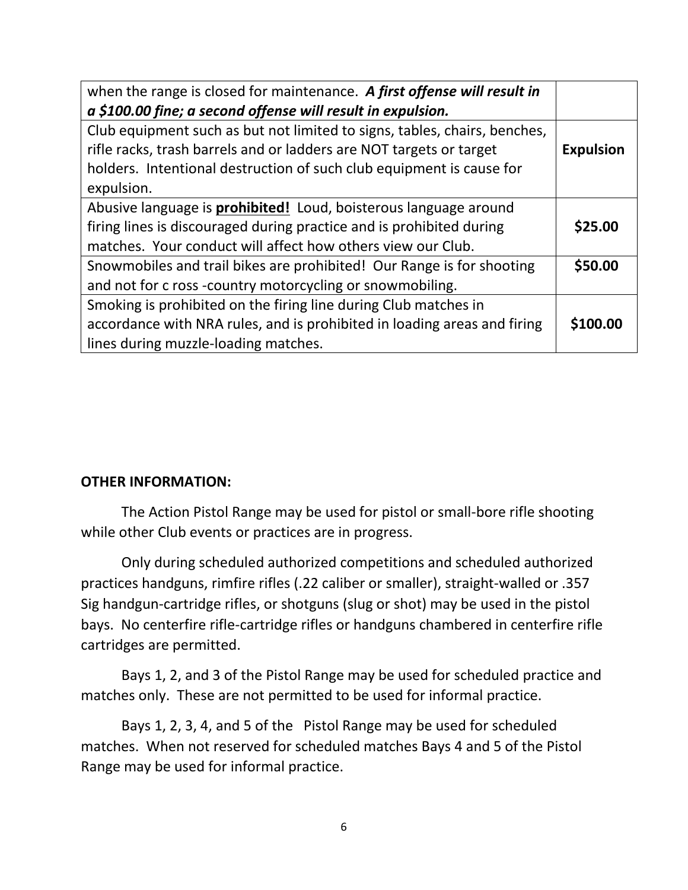| when the range is closed for maintenance. A first offense will result in<br>a \$100.00 fine; a second offense will result in expulsion.                                                                                                |                  |
|----------------------------------------------------------------------------------------------------------------------------------------------------------------------------------------------------------------------------------------|------------------|
| Club equipment such as but not limited to signs, tables, chairs, benches,<br>rifle racks, trash barrels and or ladders are NOT targets or target<br>holders. Intentional destruction of such club equipment is cause for<br>expulsion. | <b>Expulsion</b> |
| Abusive language is <b>prohibited!</b> Loud, boisterous language around<br>firing lines is discouraged during practice and is prohibited during<br>matches. Your conduct will affect how others view our Club.                         | \$25.00          |
| Snowmobiles and trail bikes are prohibited! Our Range is for shooting<br>and not for c ross -country motorcycling or snowmobiling.                                                                                                     | \$50.00          |
| Smoking is prohibited on the firing line during Club matches in<br>accordance with NRA rules, and is prohibited in loading areas and firing<br>lines during muzzle-loading matches.                                                    | \$100.00         |

### **OTHER INFORMATION:**

The Action Pistol Range may be used for pistol or small-bore rifle shooting while other Club events or practices are in progress.

Only during scheduled authorized competitions and scheduled authorized practices handguns, rimfire rifles (.22 caliber or smaller), straight-walled or .357 Sig handgun-cartridge rifles, or shotguns (slug or shot) may be used in the pistol bays. No centerfire rifle-cartridge rifles or handguns chambered in centerfire rifle cartridges are permitted.

Bays 1, 2, and 3 of the Pistol Range may be used for scheduled practice and matches only. These are not permitted to be used for informal practice.

Bays 1, 2, 3, 4, and 5 of the Pistol Range may be used for scheduled matches. When not reserved for scheduled matches Bays 4 and 5 of the Pistol Range may be used for informal practice.